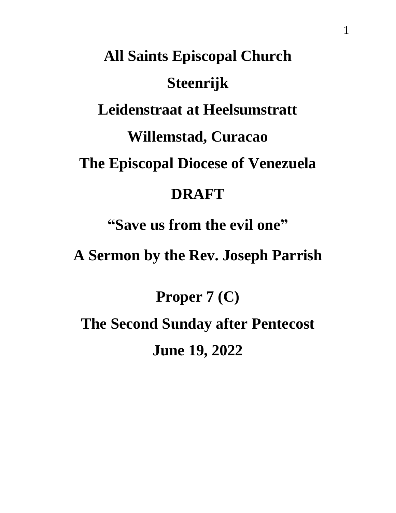## **All Saints Episcopal Church Steenrijk Leidenstraat at Heelsumstratt Willemstad, Curacao The Episcopal Diocese of Venezuela DRAFT "Save us from the evil one"**

**A Sermon by the Rev. Joseph Parrish**

**Proper 7 (C) The Second Sunday after Pentecost June 19, 2022**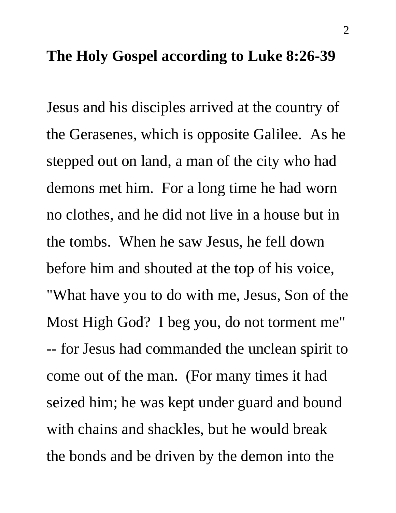## **The Holy Gospel according to Luke 8:26-39**

Jesus and his disciples arrived at the country of the Gerasenes, which is opposite Galilee. As he stepped out on land, a man of the city who had demons met him. For a long time he had worn no clothes, and he did not live in a house but in the tombs. When he saw Jesus, he fell down before him and shouted at the top of his voice, "What have you to do with me, Jesus, Son of the Most High God? I beg you, do not torment me" -- for Jesus had commanded the unclean spirit to come out of the man. (For many times it had seized him; he was kept under guard and bound with chains and shackles, but he would break the bonds and be driven by the demon into the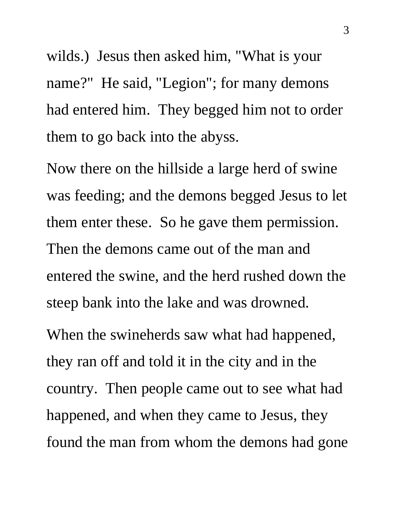wilds.) Jesus then asked him, "What is your name?" He said, "Legion"; for many demons had entered him. They begged him not to order them to go back into the abyss.

Now there on the hillside a large herd of swine was feeding; and the demons begged Jesus to let them enter these. So he gave them permission. Then the demons came out of the man and entered the swine, and the herd rushed down the steep bank into the lake and was drowned.

When the swineherds saw what had happened, they ran off and told it in the city and in the country. Then people came out to see what had happened, and when they came to Jesus, they found the man from whom the demons had gone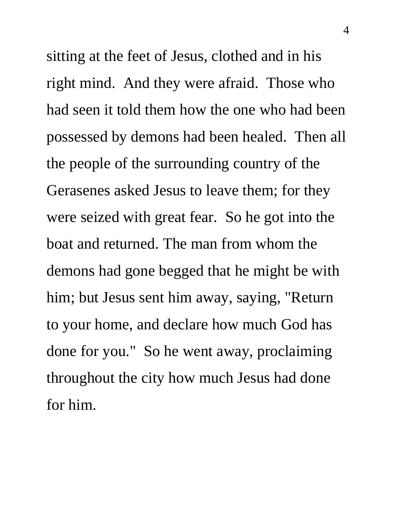sitting at the feet of Jesus, clothed and in his right mind. And they were afraid. Those who had seen it told them how the one who had been possessed by demons had been healed. Then all the people of the surrounding country of the Gerasenes asked Jesus to leave them; for they were seized with great fear. So he got into the boat and returned. The man from whom the demons had gone begged that he might be with him; but Jesus sent him away, saying, "Return to your home, and declare how much God has done for you." So he went away, proclaiming throughout the city how much Jesus had done for him.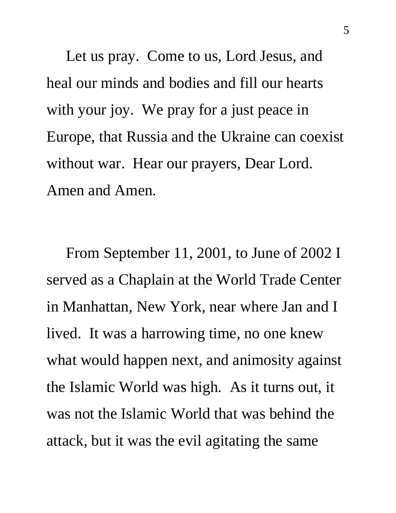Let us pray. Come to us, Lord Jesus, and heal our minds and bodies and fill our hearts with your joy. We pray for a just peace in Europe, that Russia and the Ukraine can coexist without war. Hear our prayers, Dear Lord. Amen and Amen.

 From September 11, 2001, to June of 2002 I served as a Chaplain at the World Trade Center in Manhattan, New York, near where Jan and I lived. It was a harrowing time, no one knew what would happen next, and animosity against the Islamic World was high. As it turns out, it was not the Islamic World that was behind the attack, but it was the evil agitating the same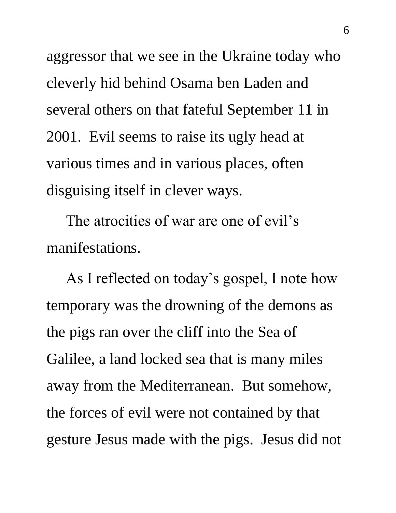aggressor that we see in the Ukraine today who cleverly hid behind Osama ben Laden and several others on that fateful September 11 in 2001. Evil seems to raise its ugly head at various times and in various places, often disguising itself in clever ways.

 The atrocities of war are one of evil's manifestations.

 As I reflected on today's gospel, I note how temporary was the drowning of the demons as the pigs ran over the cliff into the Sea of Galilee, a land locked sea that is many miles away from the Mediterranean. But somehow, the forces of evil were not contained by that gesture Jesus made with the pigs. Jesus did not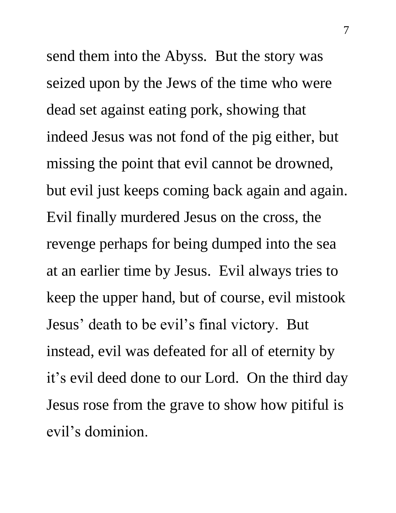send them into the Abyss. But the story was seized upon by the Jews of the time who were dead set against eating pork, showing that indeed Jesus was not fond of the pig either, but missing the point that evil cannot be drowned, but evil just keeps coming back again and again. Evil finally murdered Jesus on the cross, the revenge perhaps for being dumped into the sea at an earlier time by Jesus. Evil always tries to keep the upper hand, but of course, evil mistook Jesus' death to be evil's final victory. But instead, evil was defeated for all of eternity by it's evil deed done to our Lord. On the third day Jesus rose from the grave to show how pitiful is evil's dominion.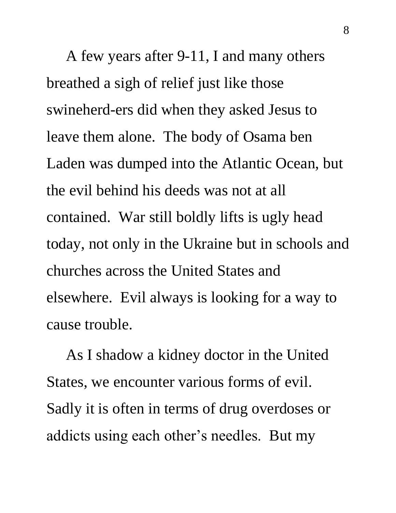A few years after 9-11, I and many others breathed a sigh of relief just like those swineherd-ers did when they asked Jesus to leave them alone. The body of Osama ben Laden was dumped into the Atlantic Ocean, but the evil behind his deeds was not at all contained. War still boldly lifts is ugly head today, not only in the Ukraine but in schools and churches across the United States and elsewhere. Evil always is looking for a way to cause trouble.

 As I shadow a kidney doctor in the United States, we encounter various forms of evil. Sadly it is often in terms of drug overdoses or addicts using each other's needles. But my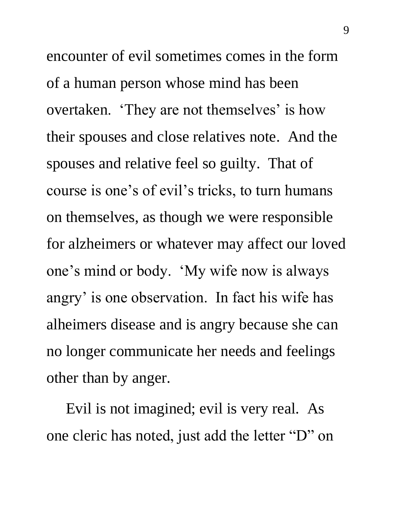encounter of evil sometimes comes in the form of a human person whose mind has been overtaken. 'They are not themselves' is how their spouses and close relatives note. And the spouses and relative feel so guilty. That of course is one's of evil's tricks, to turn humans on themselves, as though we were responsible for alzheimers or whatever may affect our loved one's mind or body. 'My wife now is always angry' is one observation. In fact his wife has alheimers disease and is angry because she can no longer communicate her needs and feelings other than by anger.

 Evil is not imagined; evil is very real. As one cleric has noted, just add the letter "D" on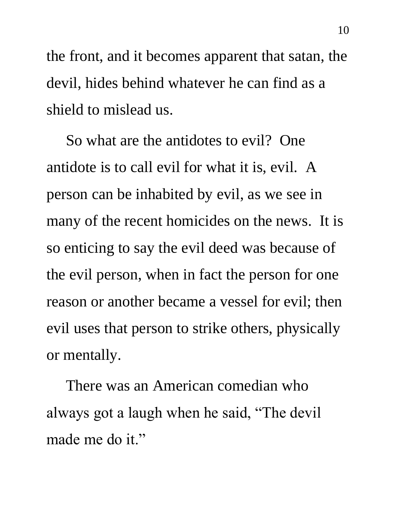the front, and it becomes apparent that satan, the devil, hides behind whatever he can find as a shield to mislead us.

 So what are the antidotes to evil? One antidote is to call evil for what it is, evil. A person can be inhabited by evil, as we see in many of the recent homicides on the news. It is so enticing to say the evil deed was because of the evil person, when in fact the person for one reason or another became a vessel for evil; then evil uses that person to strike others, physically or mentally.

 There was an American comedian who always got a laugh when he said, "The devil made me do it."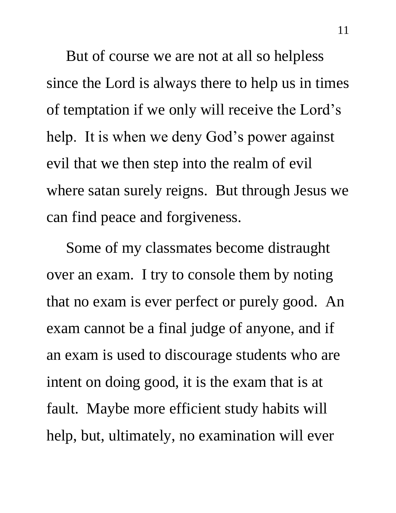But of course we are not at all so helpless since the Lord is always there to help us in times of temptation if we only will receive the Lord's help. It is when we deny God's power against evil that we then step into the realm of evil where satan surely reigns. But through Jesus we can find peace and forgiveness.

 Some of my classmates become distraught over an exam. I try to console them by noting that no exam is ever perfect or purely good. An exam cannot be a final judge of anyone, and if an exam is used to discourage students who are intent on doing good, it is the exam that is at fault. Maybe more efficient study habits will help, but, ultimately, no examination will ever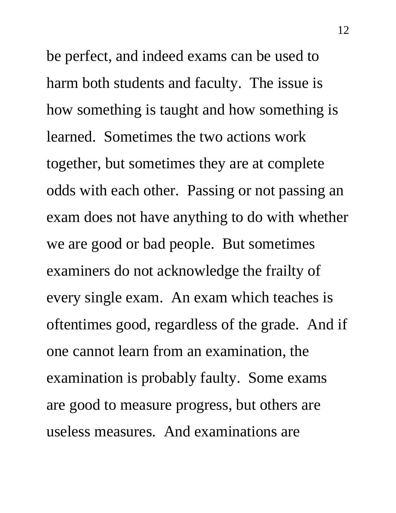be perfect, and indeed exams can be used to harm both students and faculty. The issue is how something is taught and how something is learned. Sometimes the two actions work together, but sometimes they are at complete odds with each other. Passing or not passing an exam does not have anything to do with whether we are good or bad people. But sometimes examiners do not acknowledge the frailty of every single exam. An exam which teaches is oftentimes good, regardless of the grade. And if one cannot learn from an examination, the examination is probably faulty. Some exams are good to measure progress, but others are useless measures. And examinations are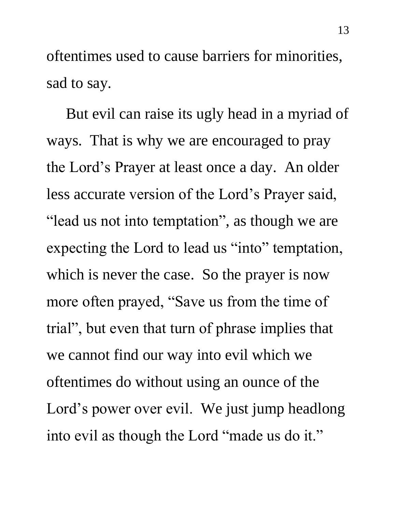oftentimes used to cause barriers for minorities, sad to say.

 But evil can raise its ugly head in a myriad of ways. That is why we are encouraged to pray the Lord's Prayer at least once a day. An older less accurate version of the Lord's Prayer said, "lead us not into temptation", as though we are expecting the Lord to lead us "into" temptation, which is never the case. So the prayer is now more often prayed, "Save us from the time of trial", but even that turn of phrase implies that we cannot find our way into evil which we oftentimes do without using an ounce of the Lord's power over evil. We just jump headlong into evil as though the Lord "made us do it."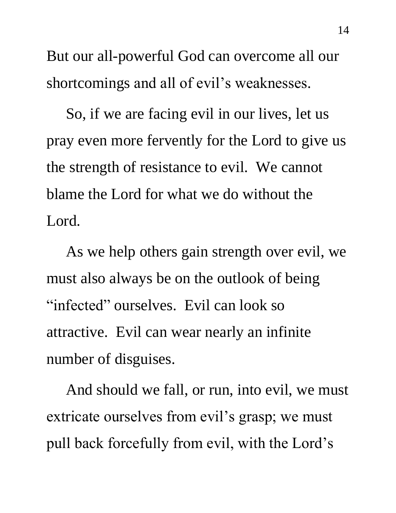But our all-powerful God can overcome all our shortcomings and all of evil's weaknesses.

 So, if we are facing evil in our lives, let us pray even more fervently for the Lord to give us the strength of resistance to evil. We cannot blame the Lord for what we do without the Lord.

 As we help others gain strength over evil, we must also always be on the outlook of being "infected" ourselves. Evil can look so attractive. Evil can wear nearly an infinite number of disguises.

 And should we fall, or run, into evil, we must extricate ourselves from evil's grasp; we must pull back forcefully from evil, with the Lord's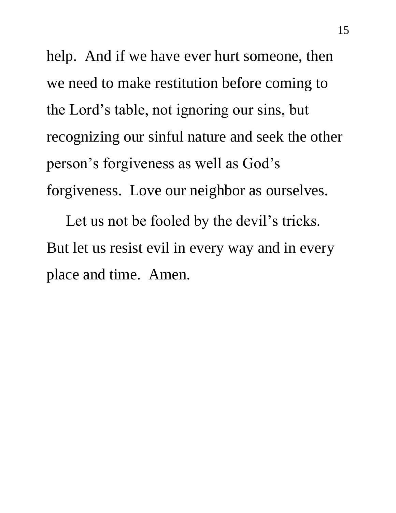help. And if we have ever hurt someone, then we need to make restitution before coming to the Lord's table, not ignoring our sins, but recognizing our sinful nature and seek the other person's forgiveness as well as God's forgiveness. Love our neighbor as ourselves.

 Let us not be fooled by the devil's tricks. But let us resist evil in every way and in every place and time. Amen.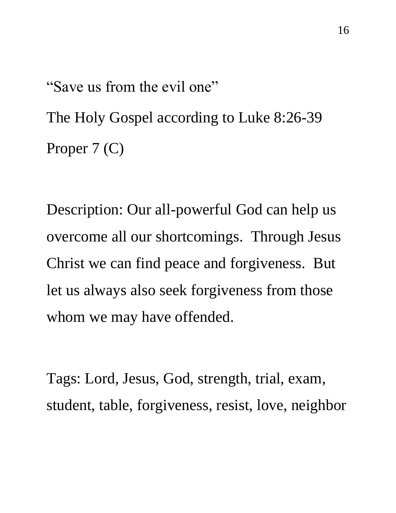"Save us from the evil one" The Holy Gospel according to Luke 8:26-39 Proper 7 (C)

Description: Our all-powerful God can help us overcome all our shortcomings. Through Jesus Christ we can find peace and forgiveness. But let us always also seek forgiveness from those whom we may have offended.

Tags: Lord, Jesus, God, strength, trial, exam, student, table, forgiveness, resist, love, neighbor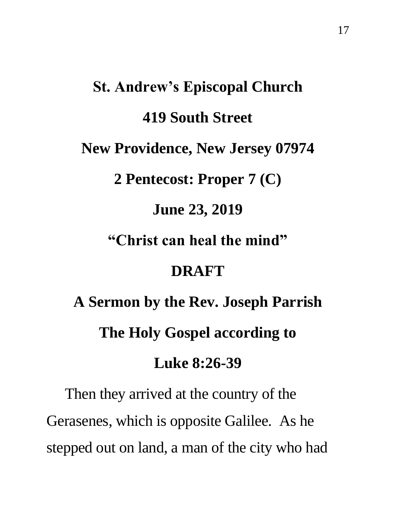## **St. Andrew's Episcopal Church 419 South Street New Providence, New Jersey 07974 2 Pentecost: Proper 7 (C) June 23, 2019 "Christ can heal the mind" DRAFT A Sermon by the Rev. Joseph Parrish The Holy Gospel according to**

**Luke 8:26-39** 

 Then they arrived at the country of the Gerasenes, which is opposite Galilee. As he stepped out on land, a man of the city who had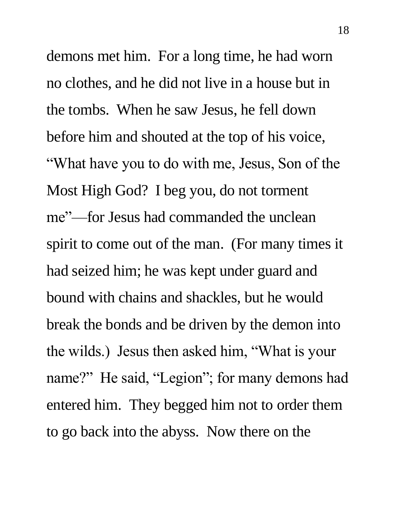demons met him. For a long time, he had worn no clothes, and he did not live in a house but in the tombs. When he saw Jesus, he fell down before him and shouted at the top of his voice, "What have you to do with me, Jesus, Son of the Most High God? I beg you, do not torment me"—for Jesus had commanded the unclean spirit to come out of the man. (For many times it had seized him; he was kept under guard and bound with chains and shackles, but he would break the bonds and be driven by the demon into the wilds.) Jesus then asked him, "What is your name?" He said, "Legion"; for many demons had entered him. They begged him not to order them to go back into the abyss. Now there on the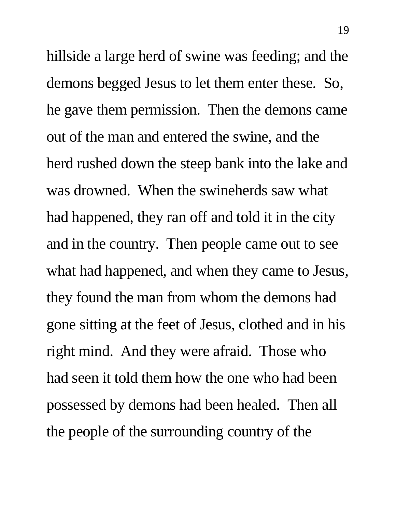hillside a large herd of swine was feeding; and the demons begged Jesus to let them enter these. So, he gave them permission. Then the demons came out of the man and entered the swine, and the herd rushed down the steep bank into the lake and was drowned. When the swineherds saw what had happened, they ran off and told it in the city and in the country. Then people came out to see what had happened, and when they came to Jesus, they found the man from whom the demons had gone sitting at the feet of Jesus, clothed and in his right mind. And they were afraid. Those who had seen it told them how the one who had been possessed by demons had been healed. Then all the people of the surrounding country of the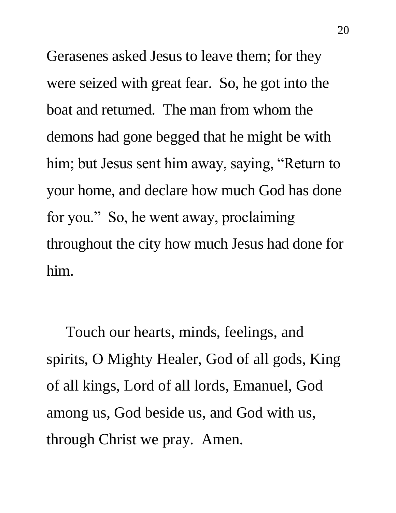Gerasenes asked Jesus to leave them; for they were seized with great fear. So, he got into the boat and returned. The man from whom the demons had gone begged that he might be with him; but Jesus sent him away, saying, "Return to your home, and declare how much God has done for you." So, he went away, proclaiming throughout the city how much Jesus had done for him.

 Touch our hearts, minds, feelings, and spirits, O Mighty Healer, God of all gods, King of all kings, Lord of all lords, Emanuel, God among us, God beside us, and God with us, through Christ we pray. Amen.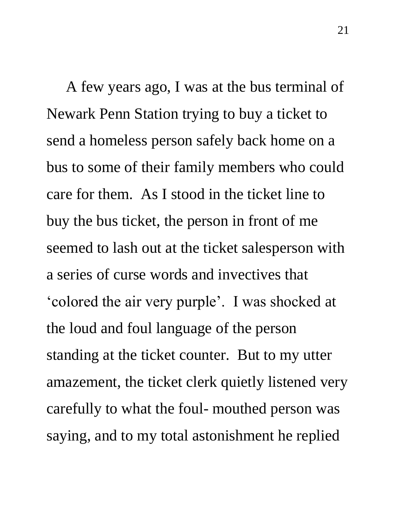A few years ago, I was at the bus terminal of Newark Penn Station trying to buy a ticket to send a homeless person safely back home on a bus to some of their family members who could care for them. As I stood in the ticket line to buy the bus ticket, the person in front of me seemed to lash out at the ticket salesperson with a series of curse words and invectives that 'colored the air very purple'. I was shocked at the loud and foul language of the person standing at the ticket counter. But to my utter amazement, the ticket clerk quietly listened very carefully to what the foul- mouthed person was saying, and to my total astonishment he replied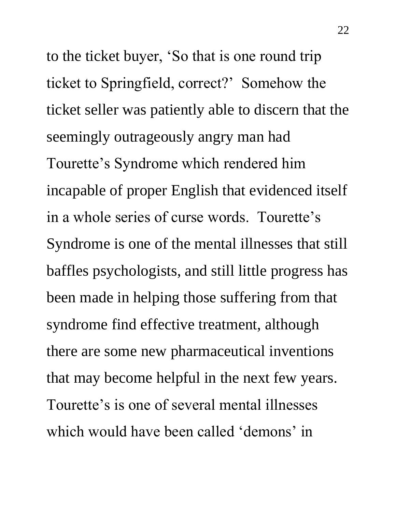to the ticket buyer, 'So that is one round trip ticket to Springfield, correct?' Somehow the ticket seller was patiently able to discern that the seemingly outrageously angry man had Tourette's Syndrome which rendered him incapable of proper English that evidenced itself in a whole series of curse words. Tourette's Syndrome is one of the mental illnesses that still baffles psychologists, and still little progress has been made in helping those suffering from that syndrome find effective treatment, although there are some new pharmaceutical inventions that may become helpful in the next few years. Tourette's is one of several mental illnesses which would have been called 'demons' in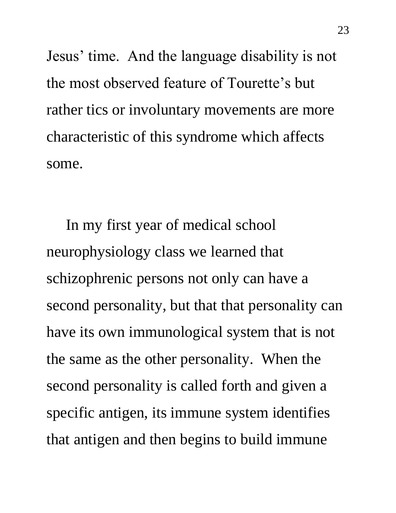Jesus' time. And the language disability is not the most observed feature of Tourette's but rather tics or involuntary movements are more characteristic of this syndrome which affects some.

 In my first year of medical school neurophysiology class we learned that schizophrenic persons not only can have a second personality, but that that personality can have its own immunological system that is not the same as the other personality. When the second personality is called forth and given a specific antigen, its immune system identifies that antigen and then begins to build immune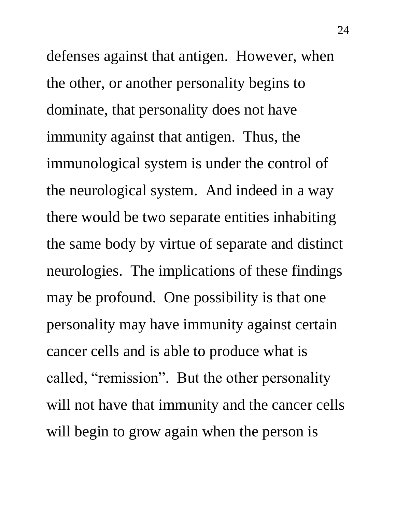defenses against that antigen. However, when the other, or another personality begins to dominate, that personality does not have immunity against that antigen. Thus, the immunological system is under the control of the neurological system. And indeed in a way there would be two separate entities inhabiting the same body by virtue of separate and distinct neurologies. The implications of these findings may be profound. One possibility is that one personality may have immunity against certain cancer cells and is able to produce what is called, "remission". But the other personality will not have that immunity and the cancer cells will begin to grow again when the person is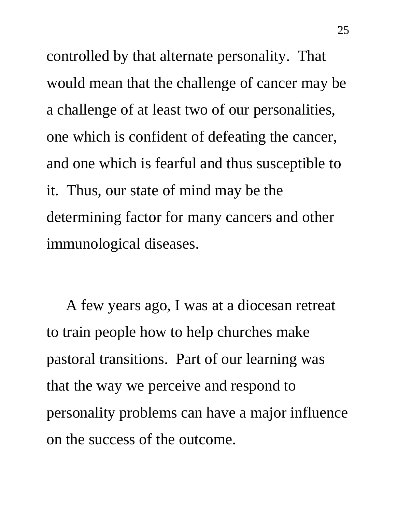controlled by that alternate personality. That would mean that the challenge of cancer may be a challenge of at least two of our personalities, one which is confident of defeating the cancer, and one which is fearful and thus susceptible to it. Thus, our state of mind may be the determining factor for many cancers and other immunological diseases.

 A few years ago, I was at a diocesan retreat to train people how to help churches make pastoral transitions. Part of our learning was that the way we perceive and respond to personality problems can have a major influence on the success of the outcome.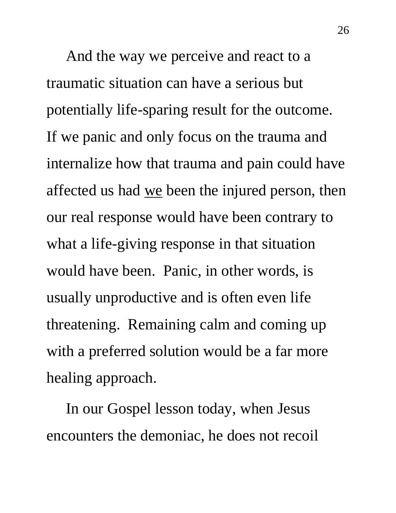And the way we perceive and react to a traumatic situation can have a serious but potentially life-sparing result for the outcome. If we panic and only focus on the trauma and internalize how that trauma and pain could have affected us had <u>we</u> been the injured person, then our real response would have been contrary to what a life-giving response in that situation would have been. Panic, in other words, is usually unproductive and is often even life threatening. Remaining calm and coming up with a preferred solution would be a far more healing approach.

 In our Gospel lesson today, when Jesus encounters the demoniac, he does not recoil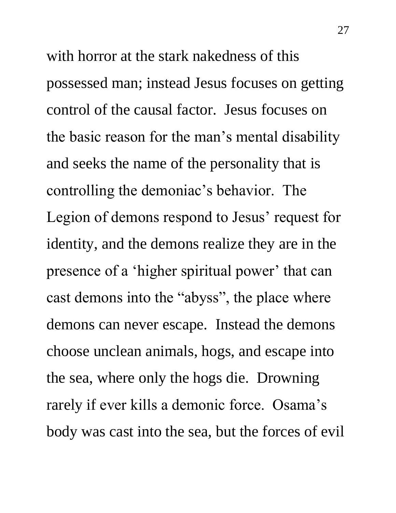with horror at the stark nakedness of this possessed man; instead Jesus focuses on getting control of the causal factor. Jesus focuses on the basic reason for the man's mental disability and seeks the name of the personality that is controlling the demoniac's behavior. The Legion of demons respond to Jesus' request for identity, and the demons realize they are in the presence of a 'higher spiritual power' that can cast demons into the "abyss", the place where demons can never escape. Instead the demons choose unclean animals, hogs, and escape into the sea, where only the hogs die. Drowning rarely if ever kills a demonic force. Osama's body was cast into the sea, but the forces of evil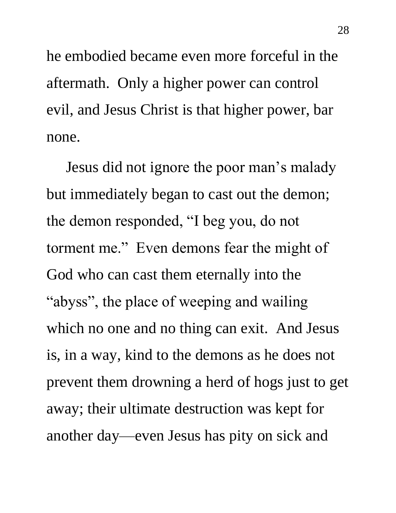he embodied became even more forceful in the aftermath. Only a higher power can control evil, and Jesus Christ is that higher power, bar none.

 Jesus did not ignore the poor man's malady but immediately began to cast out the demon; the demon responded, "I beg you, do not torment me." Even demons fear the might of God who can cast them eternally into the "abyss", the place of weeping and wailing which no one and no thing can exit. And Jesus is, in a way, kind to the demons as he does not prevent them drowning a herd of hogs just to get away; their ultimate destruction was kept for another day—even Jesus has pity on sick and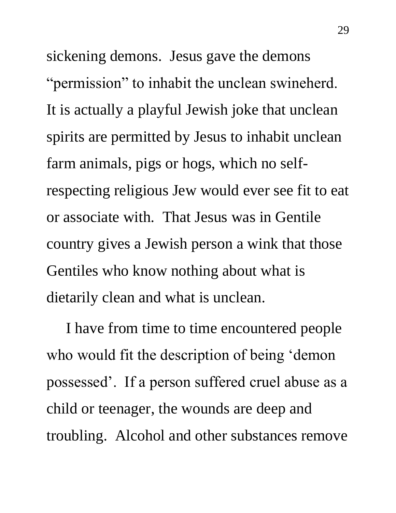sickening demons. Jesus gave the demons "permission" to inhabit the unclean swineherd. It is actually a playful Jewish joke that unclean spirits are permitted by Jesus to inhabit unclean farm animals, pigs or hogs, which no selfrespecting religious Jew would ever see fit to eat or associate with. That Jesus was in Gentile country gives a Jewish person a wink that those Gentiles who know nothing about what is dietarily clean and what is unclean.

 I have from time to time encountered people who would fit the description of being 'demon possessed'. If a person suffered cruel abuse as a child or teenager, the wounds are deep and troubling. Alcohol and other substances remove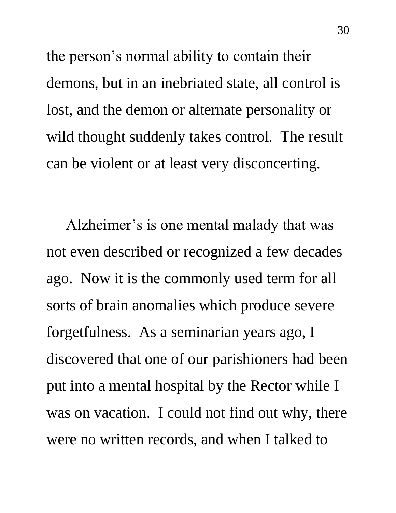the person's normal ability to contain their demons, but in an inebriated state, all control is lost, and the demon or alternate personality or wild thought suddenly takes control. The result can be violent or at least very disconcerting.

 Alzheimer's is one mental malady that was not even described or recognized a few decades ago. Now it is the commonly used term for all sorts of brain anomalies which produce severe forgetfulness. As a seminarian years ago, I discovered that one of our parishioners had been put into a mental hospital by the Rector while I was on vacation. I could not find out why, there were no written records, and when I talked to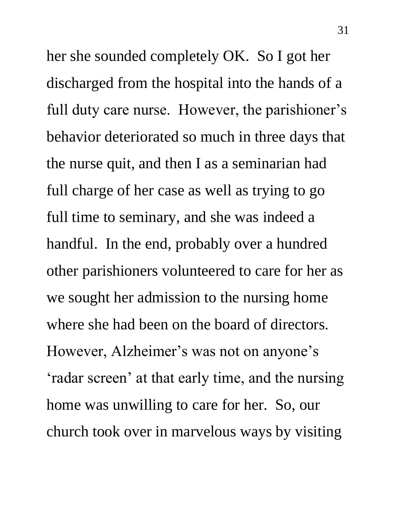her she sounded completely OK. So I got her discharged from the hospital into the hands of a full duty care nurse. However, the parishioner's behavior deteriorated so much in three days that the nurse quit, and then I as a seminarian had full charge of her case as well as trying to go full time to seminary, and she was indeed a handful. In the end, probably over a hundred other parishioners volunteered to care for her as we sought her admission to the nursing home where she had been on the board of directors. However, Alzheimer's was not on anyone's 'radar screen' at that early time, and the nursing home was unwilling to care for her. So, our church took over in marvelous ways by visiting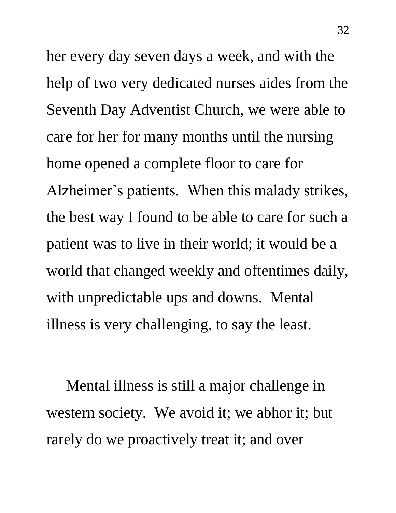her every day seven days a week, and with the help of two very dedicated nurses aides from the Seventh Day Adventist Church, we were able to care for her for many months until the nursing home opened a complete floor to care for Alzheimer's patients. When this malady strikes, the best way I found to be able to care for such a patient was to live in their world; it would be a world that changed weekly and oftentimes daily, with unpredictable ups and downs. Mental illness is very challenging, to say the least.

 Mental illness is still a major challenge in western society. We avoid it; we abhor it; but rarely do we proactively treat it; and over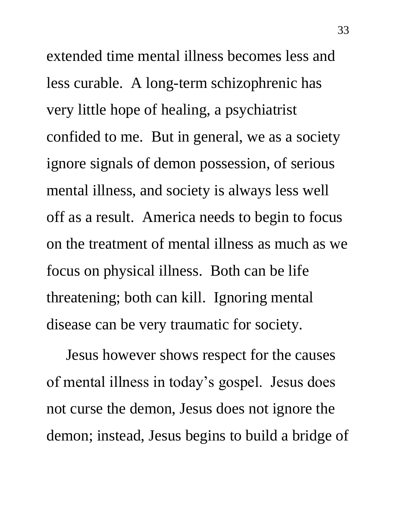extended time mental illness becomes less and less curable. A long-term schizophrenic has very little hope of healing, a psychiatrist confided to me. But in general, we as a society ignore signals of demon possession, of serious mental illness, and society is always less well off as a result. America needs to begin to focus on the treatment of mental illness as much as we focus on physical illness. Both can be life threatening; both can kill. Ignoring mental disease can be very traumatic for society.

 Jesus however shows respect for the causes of mental illness in today's gospel. Jesus does not curse the demon, Jesus does not ignore the demon; instead, Jesus begins to build a bridge of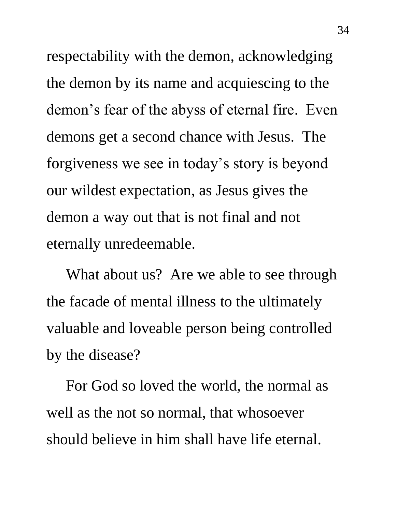respectability with the demon, acknowledging the demon by its name and acquiescing to the demon's fear of the abyss of eternal fire. Even demons get a second chance with Jesus. The forgiveness we see in today's story is beyond our wildest expectation, as Jesus gives the demon a way out that is not final and not eternally unredeemable.

What about us? Are we able to see through the facade of mental illness to the ultimately valuable and loveable person being controlled by the disease?

 For God so loved the world, the normal as well as the not so normal, that whosoever should believe in him shall have life eternal.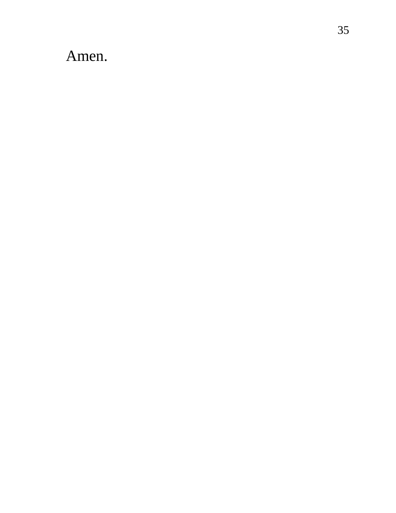## Amen.